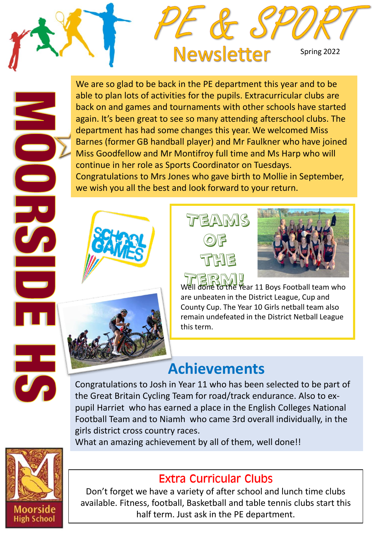

We are so glad to be back in the PE department this year and to be able to plan lots of activities for the pupils. Extracurricular clubs are back on and games and tournaments with other schools have started again. It's been great to see so many attending afterschool clubs. The department has had some changes this year. We welcomed Miss Barnes (former GB handball player) and Mr Faulkner who have joined Miss Goodfellow and Mr Montifroy full time and Ms Harp who will continue in her role as Sports Coordinator on Tuesdays. Congratulations to Mrs Jones who gave birth to Mollie in September, we wish you all the best and look forward to your return.







Well done to the Year 11 Boys Football team who are unbeaten in the District League, Cup and County Cup. The Year 10 Girls netball team also remain undefeated in the District Netball League this term.

# **Achievements**

Congratulations to Josh in Year 11 who has been selected to be part of the Great Britain Cycling Team for road/track endurance. Also to expupil Harriet who has earned a place in the English Colleges National Football Team and to Niamh who came 3rd overall individually, in the girls district cross country races.

What an amazing achievement by all of them, well done!!



#### Extra Curricular Clubs

Don't forget we have a variety of after school and lunch time clubs available. Fitness, football, Basketball and table tennis clubs start this half term. Just ask in the PE department.